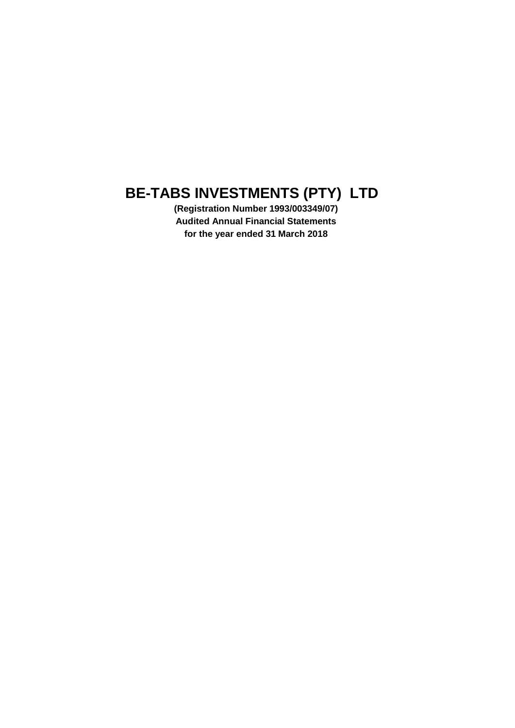**(Registration Number 1993/003349/07) Audited Annual Financial Statements for the year ended 31 March 2018**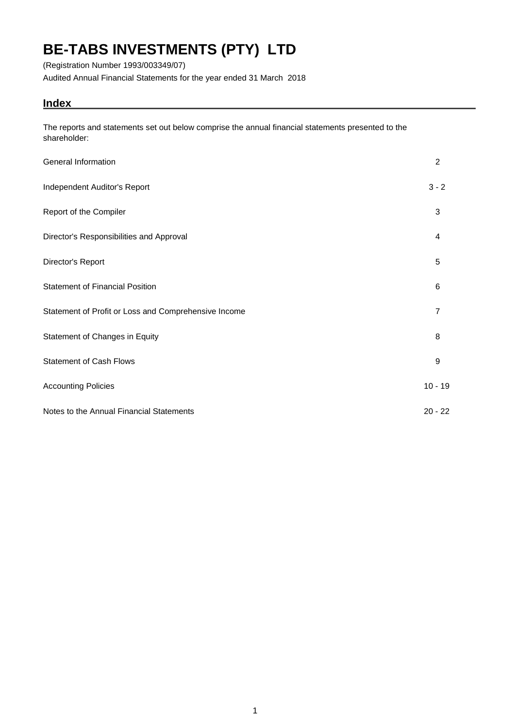(Registration Number 1993/003349/07)

Audited Annual Financial Statements for the year ended 31 March 2018

## **Index**

The reports and statements set out below comprise the annual financial statements presented to the shareholder:

| General Information                                  | 2              |
|------------------------------------------------------|----------------|
| Independent Auditor's Report                         | $3 - 2$        |
| Report of the Compiler                               | 3              |
| Director's Responsibilities and Approval             | $\overline{4}$ |
| Director's Report                                    | 5              |
| <b>Statement of Financial Position</b>               | 6              |
| Statement of Profit or Loss and Comprehensive Income | $\overline{7}$ |
| Statement of Changes in Equity                       | 8              |
| <b>Statement of Cash Flows</b>                       | 9              |
| <b>Accounting Policies</b>                           | $10 - 19$      |
| Notes to the Annual Financial Statements             | $20 - 22$      |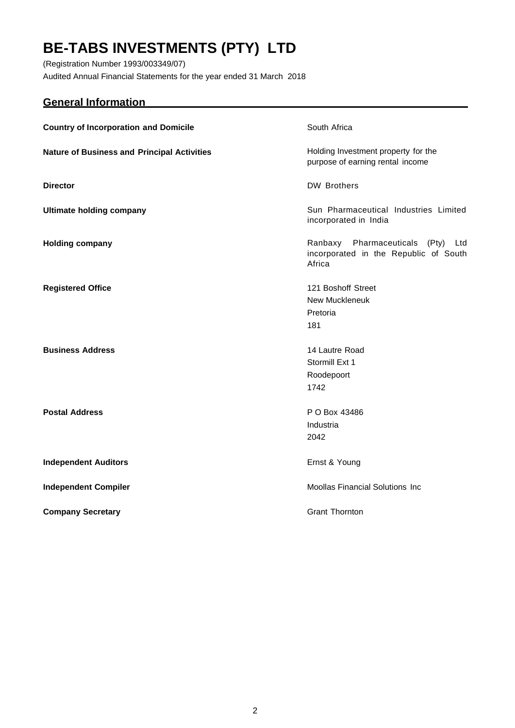(Registration Number 1993/003349/07) Audited Annual Financial Statements for the year ended 31 March 2018

## <span id="page-2-0"></span>**General Information**

| <b>Country of Incorporation and Domicile</b>       | South Africa                                                                            |
|----------------------------------------------------|-----------------------------------------------------------------------------------------|
| <b>Nature of Business and Principal Activities</b> | Holding Investment property for the<br>purpose of earning rental income                 |
| <b>Director</b>                                    | <b>DW Brothers</b>                                                                      |
| <b>Ultimate holding company</b>                    | Sun Pharmaceutical Industries Limited<br>incorporated in India                          |
| <b>Holding company</b>                             | Ranbaxy Pharmaceuticals (Pty)<br>Ltd<br>incorporated in the Republic of South<br>Africa |
| <b>Registered Office</b>                           | 121 Boshoff Street<br><b>New Muckleneuk</b><br>Pretoria<br>181                          |
| <b>Business Address</b>                            | 14 Lautre Road<br>Stormill Ext 1<br>Roodepoort<br>1742                                  |
| <b>Postal Address</b>                              | P O Box 43486<br>Industria<br>2042                                                      |
| <b>Independent Auditors</b>                        | Ernst & Young                                                                           |
| <b>Independent Compiler</b>                        | <b>Moollas Financial Solutions Inc</b>                                                  |
| <b>Company Secretary</b>                           | <b>Grant Thornton</b>                                                                   |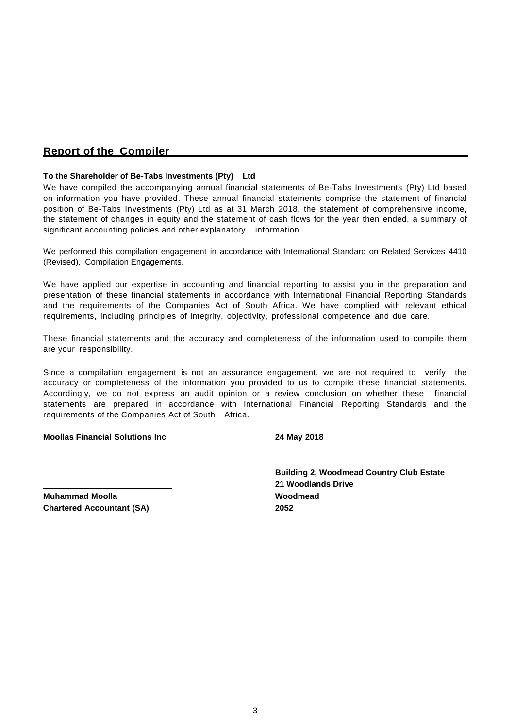## <span id="page-3-0"></span>**Report of the Compiler**

### **To the Shareholder of Be-Tabs Investments (Pty) Ltd**

We have compiled the accompanying annual financial statements of Be-Tabs Investments (Pty) Ltd based on information you have provided. These annual financial statements comprise the statement of financial position of Be-Tabs Investments (Pty) Ltd as at 31 March 2018, the statement of comprehensive income, the statement of changes in equity and the statement of cash flows for the year then ended, a summary of significant accounting policies and other explanatory information.

We performed this compilation engagement in accordance with International Standard on Related Services 4410 (Revised), Compilation Engagements.

We have applied our expertise in accounting and financial reporting to assist you in the preparation and presentation of these financial statements in accordance with International Financial Reporting Standards and the requirements of the Companies Act of South Africa. We have complied with relevant ethical requirements, including principles of integrity, objectivity, professional competence and due care.

These financial statements and the accuracy and completeness of the information used to compile them are your responsibility.

Since a compilation engagement is not an assurance engagement, we are not required to verify the accuracy or completeness of the information you provided to us to compile these financial statements. Accordingly, we do not express an audit opinion or a review conclusion on whether these financial statements are prepared in accordance with International Financial Reporting Standards and the requirements of the Companies Act of South Africa.

### **Moollas Financial Solutions Inc 24 May 2018**

**Building 2, Woodmead Country Club Estate 21 Woodlands Drive**

**Muhammad Moolla Woodmead Chartered Accountant (SA) 2052**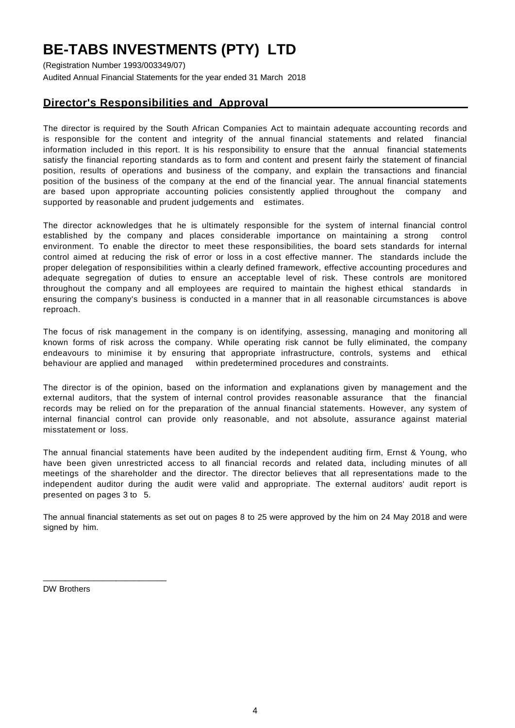(Registration Number 1993/003349/07) Audited Annual Financial Statements for the year ended 31 March 2018

## <span id="page-4-0"></span>**Director's Responsibilities and Approval**

The director is required by the South African Companies Act to maintain adequate accounting records and is responsible for the content and integrity of the annual financial statements and related financial information included in this report. It is his responsibility to ensure that the annual financial statements satisfy the financial reporting standards as to form and content and present fairly the statement of financial position, results of operations and business of the company, and explain the transactions and financial position of the business of the company at the end of the financial year. The annual financial statements are based upon appropriate accounting policies consistently applied throughout the company and supported by reasonable and prudent judgements and estimates.

The director acknowledges that he is ultimately responsible for the system of internal financial control established by the company and places considerable importance on maintaining a strong control environment. To enable the director to meet these responsibilities, the board sets standards for internal control aimed at reducing the risk of error or loss in a cost effective manner. The standards include the proper delegation of responsibilities within a clearly defined framework, effective accounting procedures and adequate segregation of duties to ensure an acceptable level of risk. These controls are monitored throughout the company and all employees are required to maintain the highest ethical standards in ensuring the company's business is conducted in a manner that in all reasonable circumstances is above reproach.

The focus of risk management in the company is on identifying, assessing, managing and monitoring all known forms of risk across the company. While operating risk cannot be fully eliminated, the company endeavours to minimise it by ensuring that appropriate infrastructure, controls, systems and ethical behaviour are applied and managed within predetermined procedures and constraints.

The director is of the opinion, based on the information and explanations given by management and the external auditors, that the system of internal control provides reasonable assurance that the financial records may be relied on for the preparation of the annual financial statements. However, any system of internal financial control can provide only reasonable, and not absolute, assurance against material misstatement or loss.

The annual financial statements have been audited by the independent auditing firm, Ernst & Young, who have been given unrestricted access to all financial records and related data, including minutes of all meetings of the shareholder and the director. The director believes that all representations made to the independent auditor during the audit were valid and appropriate. The external auditors' audit report is presented on pages 3 to 5.

The annual financial statements as set out on pages 8 to 25 were approved by the him on 24 May 2018 and were signed by him.

DW Brothers

\_\_\_\_\_\_\_\_\_\_\_\_\_\_\_\_\_\_\_\_\_\_\_\_\_\_\_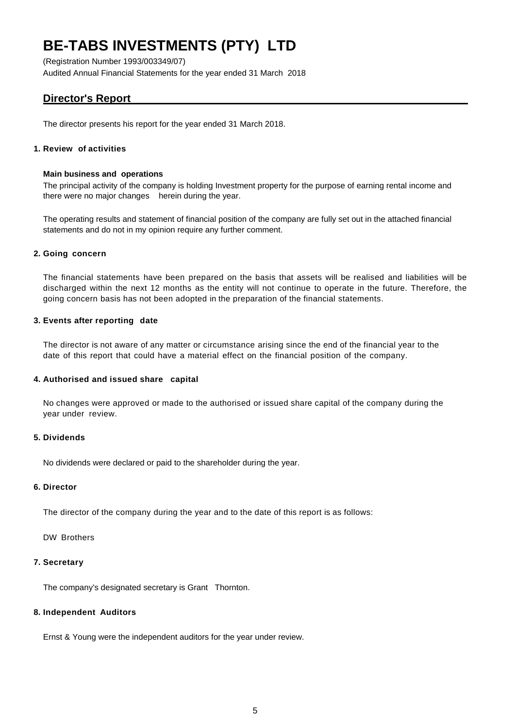(Registration Number 1993/003349/07) Audited Annual Financial Statements for the year ended 31 March 2018

## <span id="page-5-0"></span>**Director's Report**

The director presents his report for the year ended 31 March 2018.

## **1. Review of activities**

### **Main business and operations**

The principal activity of the company is holding Investment property for the purpose of earning rental income and there were no major changes herein during the year.

The operating results and statement of financial position of the company are fully set out in the attached financial statements and do not in my opinion require any further comment.

## **2. Going concern**

The financial statements have been prepared on the basis that assets will be realised and liabilities will be discharged within the next 12 months as the entity will not continue to operate in the future. Therefore, the going concern basis has not been adopted in the preparation of the financial statements.

## **3. Events after reporting date**

The director is not aware of any matter or circumstance arising since the end of the financial year to the date of this report that could have a material effect on the financial position of the company.

## **4. Authorised and issued share capital**

No changes were approved or made to the authorised or issued share capital of the company during the year under review.

### **5. Dividends**

No dividends were declared or paid to the shareholder during the year.

### **6. Director**

The director of the company during the year and to the date of this report is as follows:

DW Brothers

### **7. Secretary**

The company's designated secretary is Grant Thornton.

### **8. Independent Auditors**

Ernst & Young were the independent auditors for the year under review.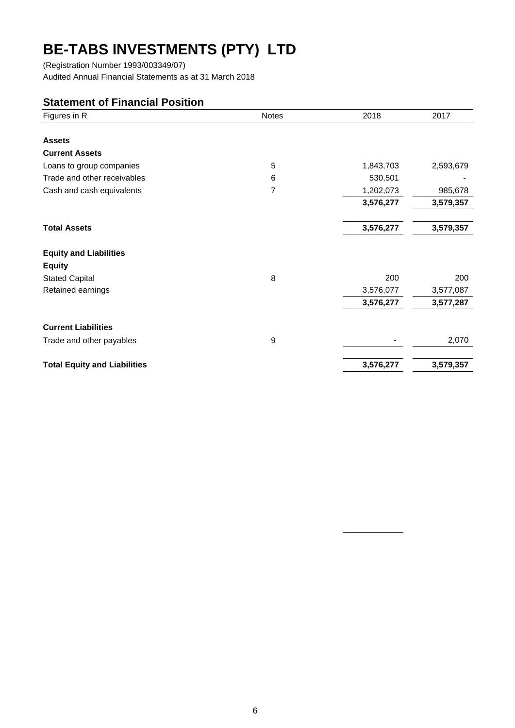(Registration Number 1993/003349/07) Audited Annual Financial Statements as at 31 March 2018

## **Statement of Financial Position**

| Figures in R                        | <b>Notes</b> | 2018      | 2017      |
|-------------------------------------|--------------|-----------|-----------|
|                                     |              |           |           |
| <b>Assets</b>                       |              |           |           |
| <b>Current Assets</b>               |              |           |           |
| Loans to group companies            | 5            | 1,843,703 | 2,593,679 |
| Trade and other receivables         | 6            | 530,501   |           |
| Cash and cash equivalents           | 7            | 1,202,073 | 985,678   |
|                                     |              | 3,576,277 | 3,579,357 |
| <b>Total Assets</b>                 |              | 3,576,277 | 3,579,357 |
| <b>Equity and Liabilities</b>       |              |           |           |
| <b>Equity</b>                       |              |           |           |
| <b>Stated Capital</b>               | 8            | 200       | 200       |
| Retained earnings                   |              | 3,576,077 | 3,577,087 |
|                                     |              | 3,576,277 | 3,577,287 |
| <b>Current Liabilities</b>          |              |           |           |
| Trade and other payables            | 9            |           | 2,070     |
| <b>Total Equity and Liabilities</b> |              | 3,576,277 | 3,579,357 |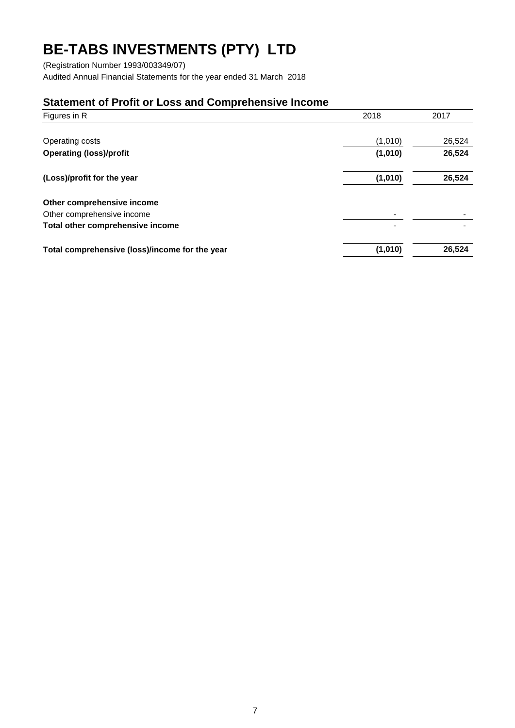(Registration Number 1993/003349/07) Audited Annual Financial Statements for the year ended 31 March 2018

## **Statement of Profit or Loss and Comprehensive Income**

| Figures in R                                   | 2018    | 2017   |  |
|------------------------------------------------|---------|--------|--|
|                                                |         |        |  |
| Operating costs                                | (1,010) | 26,524 |  |
| <b>Operating (loss)/profit</b>                 | (1,010) | 26,524 |  |
| (Loss)/profit for the year                     | (1,010) | 26,524 |  |
| Other comprehensive income                     |         |        |  |
| Other comprehensive income                     |         |        |  |
| Total other comprehensive income               |         |        |  |
| Total comprehensive (loss)/income for the year | (1,010) | 26,524 |  |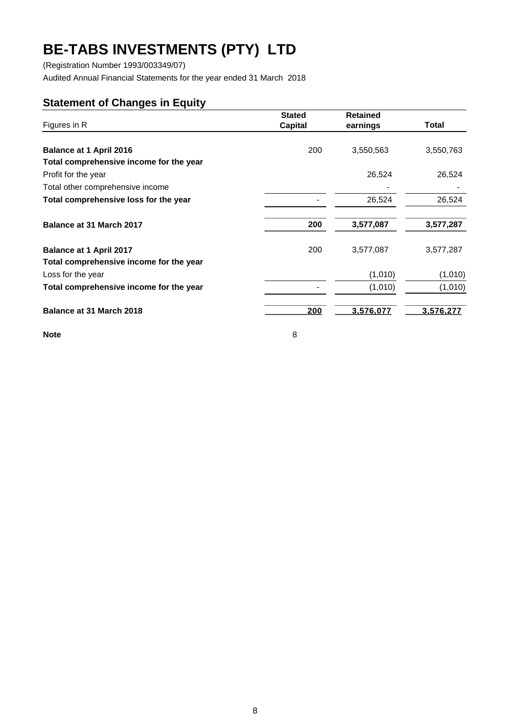(Registration Number 1993/003349/07)

Audited Annual Financial Statements for the year ended 31 March 2018

## **Statement of Changes in Equity**

| Figures in R                            | <b>Stated</b><br>Capital | <b>Retained</b><br>earnings | Total     |  |
|-----------------------------------------|--------------------------|-----------------------------|-----------|--|
| <b>Balance at 1 April 2016</b>          | 200                      | 3,550,563                   | 3,550,763 |  |
| Total comprehensive income for the year |                          |                             |           |  |
| Profit for the year                     |                          | 26,524                      | 26,524    |  |
| Total other comprehensive income        |                          |                             |           |  |
| Total comprehensive loss for the year   |                          | 26,524                      | 26,524    |  |
| Balance at 31 March 2017                | 200                      | 3,577,087                   | 3,577,287 |  |
| <b>Balance at 1 April 2017</b>          | 200                      | 3,577,087                   | 3,577,287 |  |
| Total comprehensive income for the year |                          |                             |           |  |
| Loss for the year                       |                          | (1,010)                     | (1,010)   |  |
| Total comprehensive income for the year |                          | (1,010)                     | (1,010)   |  |
| Balance at 31 March 2018                | 200                      | 3,576,077                   | 3,576,277 |  |
| <b>Note</b>                             | 8                        |                             |           |  |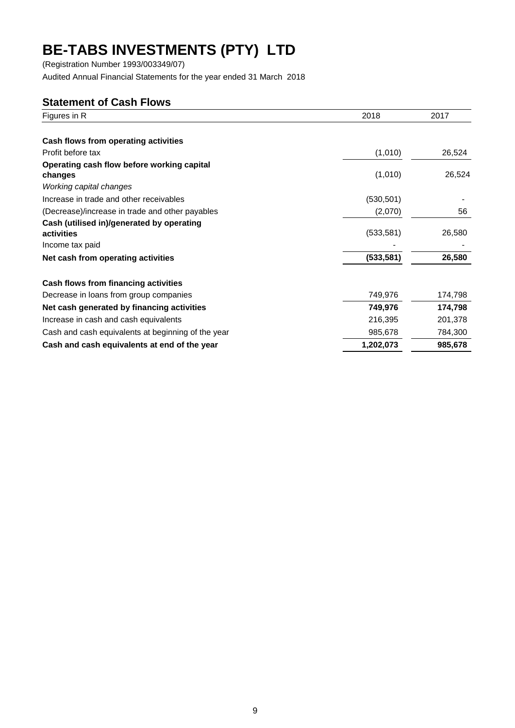(Registration Number 1993/003349/07)

Audited Annual Financial Statements for the year ended 31 March 2018

## **Statement of Cash Flows**

| Figures in R                                       | 2018       | 2017    |
|----------------------------------------------------|------------|---------|
|                                                    |            |         |
| Cash flows from operating activities               |            |         |
| Profit before tax                                  | (1,010)    | 26,524  |
| Operating cash flow before working capital         |            |         |
| changes                                            | (1,010)    | 26,524  |
| Working capital changes                            |            |         |
| Increase in trade and other receivables            | (530, 501) |         |
| (Decrease)/increase in trade and other payables    | (2,070)    | 56      |
| Cash (utilised in)/generated by operating          |            |         |
| activities                                         | (533, 581) | 26,580  |
| Income tax paid                                    |            |         |
| Net cash from operating activities                 | (533, 581) | 26,580  |
| Cash flows from financing activities               |            |         |
| Decrease in loans from group companies             | 749,976    | 174,798 |
| Net cash generated by financing activities         | 749,976    | 174,798 |
| Increase in cash and cash equivalents              | 216,395    | 201,378 |
| Cash and cash equivalents at beginning of the year | 985,678    | 784,300 |
| Cash and cash equivalents at end of the year       | 1,202,073  | 985,678 |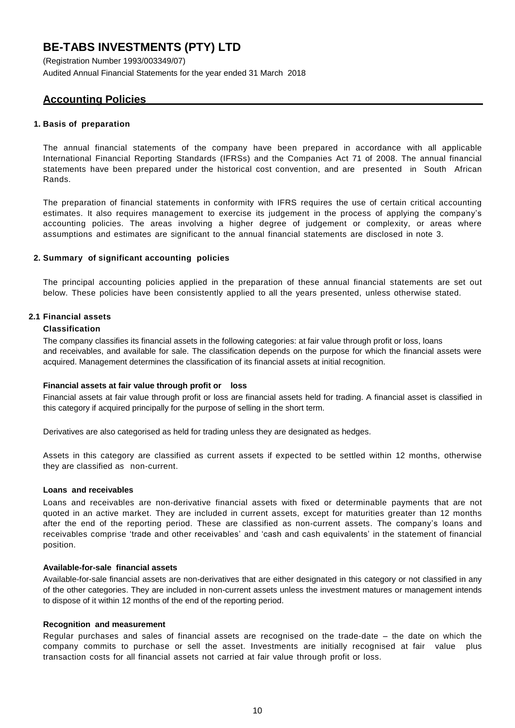(Registration Number 1993/003349/07) Audited Annual Financial Statements for the year ended 31 March 2018

## <span id="page-10-0"></span>**Accounting Policies**

## **1. Basis of preparation**

The annual financial statements of the company have been prepared in accordance with all applicable International Financial Reporting Standards (IFRSs) and the Companies Act 71 of 2008. The annual financial statements have been prepared under the historical cost convention, and are presented in South African Rands.

The preparation of financial statements in conformity with IFRS requires the use of certain critical accounting estimates. It also requires management to exercise its judgement in the process of applying the company's accounting policies. The areas involving a higher degree of judgement or complexity, or areas where assumptions and estimates are significant to the annual financial statements are disclosed in note 3.

## **2. Summary of significant accounting policies**

The principal accounting policies applied in the preparation of these annual financial statements are set out below. These policies have been consistently applied to all the years presented, unless otherwise stated.

## **2.1 Financial assets**

## **Classification**

The company classifies its financial assets in the following categories: at fair value through profit or loss, loans and receivables, and available for sale. The classification depends on the purpose for which the financial assets were acquired. Management determines the classification of its financial assets at initial recognition.

### **Financial assets at fair value through profit or loss**

Financial assets at fair value through profit or loss are financial assets held for trading. A financial asset is classified in this category if acquired principally for the purpose of selling in the short term.

Derivatives are also categorised as held for trading unless they are designated as hedges.

Assets in this category are classified as current assets if expected to be settled within 12 months, otherwise they are classified as non-current.

### **Loans and receivables**

Loans and receivables are non-derivative financial assets with fixed or determinable payments that are not quoted in an active market. They are included in current assets, except for maturities greater than 12 months after the end of the reporting period. These are classified as non-current assets. The company's loans and receivables comprise 'trade and other receivables' and 'cash and cash equivalents' in the statement of financial position.

### **Available-for-sale financial assets**

Available-for-sale financial assets are non-derivatives that are either designated in this category or not classified in any of the other categories. They are included in non-current assets unless the investment matures or management intends to dispose of it within 12 months of the end of the reporting period.

### **Recognition and measurement**

Regular purchases and sales of financial assets are recognised on the trade-date – the date on which the company commits to purchase or sell the asset. Investments are initially recognised at fair value plus transaction costs for all financial assets not carried at fair value through profit or loss.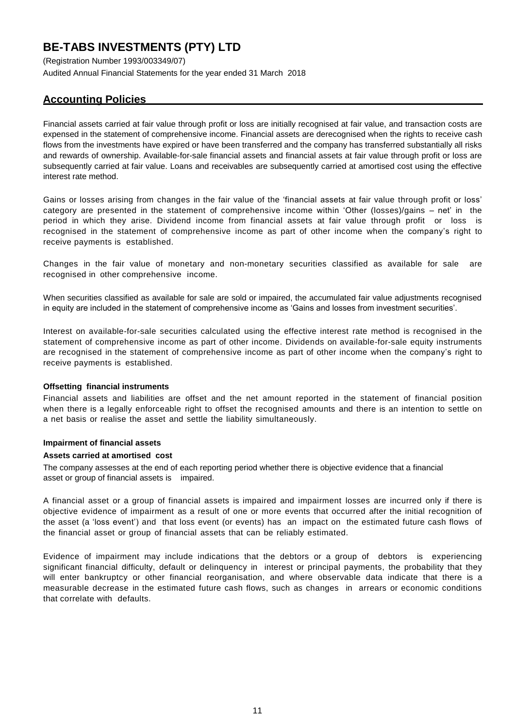(Registration Number 1993/003349/07) Audited Annual Financial Statements for the year ended 31 March 2018

## **Accounting Policies**

Financial assets carried at fair value through profit or loss are initially recognised at fair value, and transaction costs are expensed in the statement of comprehensive income. Financial assets are derecognised when the rights to receive cash flows from the investments have expired or have been transferred and the company has transferred substantially all risks and rewards of ownership. Available-for-sale financial assets and financial assets at fair value through profit or loss are subsequently carried at fair value. Loans and receivables are subsequently carried at amortised cost using the effective interest rate method.

Gains or losses arising from changes in the fair value of the 'financial assets at fair value through profit or loss' category are presented in the statement of comprehensive income within 'Other (losses)/gains – net' in the period in which they arise. Dividend income from financial assets at fair value through profit or loss is recognised in the statement of comprehensive income as part of other income when the company's right to receive payments is established.

Changes in the fair value of monetary and non-monetary securities classified as available for sale are recognised in other comprehensive income.

When securities classified as available for sale are sold or impaired, the accumulated fair value adjustments recognised in equity are included in the statement of comprehensive income as 'Gains and losses from investment securities'.

Interest on available-for-sale securities calculated using the effective interest rate method is recognised in the statement of comprehensive income as part of other income. Dividends on available-for-sale equity instruments are recognised in the statement of comprehensive income as part of other income when the company's right to receive payments is established.

### **Offsetting financial instruments**

Financial assets and liabilities are offset and the net amount reported in the statement of financial position when there is a legally enforceable right to offset the recognised amounts and there is an intention to settle on a net basis or realise the asset and settle the liability simultaneously.

### **Impairment of financial assets**

### **Assets carried at amortised cost**

The company assesses at the end of each reporting period whether there is objective evidence that a financial asset or group of financial assets is impaired.

A financial asset or a group of financial assets is impaired and impairment losses are incurred only if there is objective evidence of impairment as a result of one or more events that occurred after the initial recognition of the asset (a 'loss event') and that loss event (or events) has an impact on the estimated future cash flows of the financial asset or group of financial assets that can be reliably estimated.

Evidence of impairment may include indications that the debtors or a group of debtors is experiencing significant financial difficulty, default or delinquency in interest or principal payments, the probability that they will enter bankruptcy or other financial reorganisation, and where observable data indicate that there is a measurable decrease in the estimated future cash flows, such as changes in arrears or economic conditions that correlate with defaults.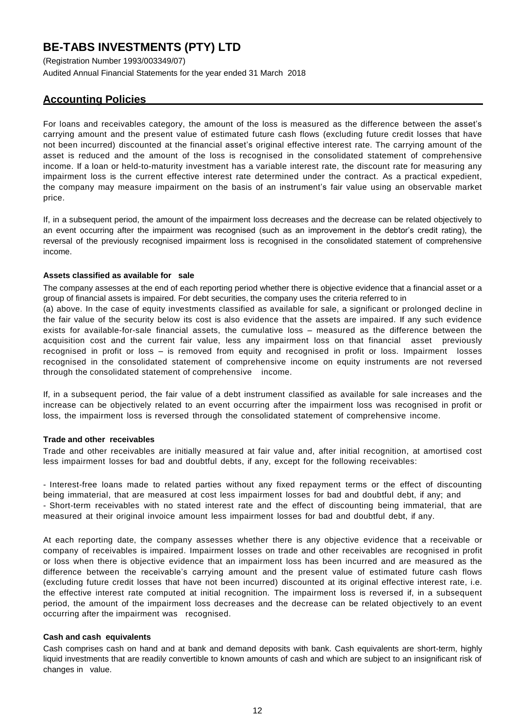(Registration Number 1993/003349/07) Audited Annual Financial Statements for the year ended 31 March 2018

## **Accounting Policies**

For loans and receivables category, the amount of the loss is measured as the difference between the asset's carrying amount and the present value of estimated future cash flows (excluding future credit losses that have not been incurred) discounted at the financial asset's original effective interest rate. The carrying amount of the asset is reduced and the amount of the loss is recognised in the consolidated statement of comprehensive income. If a loan or held-to-maturity investment has a variable interest rate, the discount rate for measuring any impairment loss is the current effective interest rate determined under the contract. As a practical expedient, the company may measure impairment on the basis of an instrument's fair value using an observable market price.

If, in a subsequent period, the amount of the impairment loss decreases and the decrease can be related objectively to an event occurring after the impairment was recognised (such as an improvement in the debtor's credit rating), the reversal of the previously recognised impairment loss is recognised in the consolidated statement of comprehensive income.

### **Assets classified as available for sale**

The company assesses at the end of each reporting period whether there is objective evidence that a financial asset or a group of financial assets is impaired. For debt securities, the company uses the criteria referred to in

(a) above. In the case of equity investments classified as available for sale, a significant or prolonged decline in the fair value of the security below its cost is also evidence that the assets are impaired. If any such evidence exists for available-for-sale financial assets, the cumulative loss – measured as the difference between the acquisition cost and the current fair value, less any impairment loss on that financial asset previously recognised in profit or loss – is removed from equity and recognised in profit or loss. Impairment losses recognised in the consolidated statement of comprehensive income on equity instruments are not reversed through the consolidated statement of comprehensive income.

If, in a subsequent period, the fair value of a debt instrument classified as available for sale increases and the increase can be objectively related to an event occurring after the impairment loss was recognised in profit or loss, the impairment loss is reversed through the consolidated statement of comprehensive income.

### **Trade and other receivables**

Trade and other receivables are initially measured at fair value and, after initial recognition, at amortised cost less impairment losses for bad and doubtful debts, if any, except for the following receivables:

- Interest-free loans made to related parties without any fixed repayment terms or the effect of discounting being immaterial, that are measured at cost less impairment losses for bad and doubtful debt, if any; and - Short-term receivables with no stated interest rate and the effect of discounting being immaterial, that are measured at their original invoice amount less impairment losses for bad and doubtful debt, if any.

At each reporting date, the company assesses whether there is any objective evidence that a receivable or company of receivables is impaired. Impairment losses on trade and other receivables are recognised in profit or loss when there is objective evidence that an impairment loss has been incurred and are measured as the difference between the receivable's carrying amount and the present value of estimated future cash flows (excluding future credit losses that have not been incurred) discounted at its original effective interest rate, i.e. the effective interest rate computed at initial recognition. The impairment loss is reversed if, in a subsequent period, the amount of the impairment loss decreases and the decrease can be related objectively to an event occurring after the impairment was recognised.

### **Cash and cash equivalents**

Cash comprises cash on hand and at bank and demand deposits with bank. Cash equivalents are short-term, highly liquid investments that are readily convertible to known amounts of cash and which are subject to an insignificant risk of changes in value.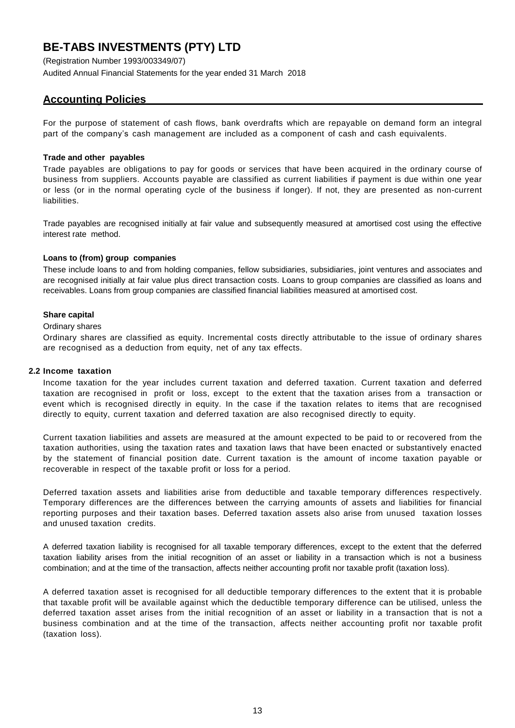(Registration Number 1993/003349/07) Audited Annual Financial Statements for the year ended 31 March 2018

## **Accounting Policies**

For the purpose of statement of cash flows, bank overdrafts which are repayable on demand form an integral part of the company's cash management are included as a component of cash and cash equivalents.

## **Trade and other payables**

Trade payables are obligations to pay for goods or services that have been acquired in the ordinary course of business from suppliers. Accounts payable are classified as current liabilities if payment is due within one year or less (or in the normal operating cycle of the business if longer). If not, they are presented as non-current liabilities.

Trade payables are recognised initially at fair value and subsequently measured at amortised cost using the effective interest rate method.

## **Loans to (from) group companies**

These include loans to and from holding companies, fellow subsidiaries, subsidiaries, joint ventures and associates and are recognised initially at fair value plus direct transaction costs. Loans to group companies are classified as loans and receivables. Loans from group companies are classified financial liabilities measured at amortised cost.

## **Share capital**

### Ordinary shares

Ordinary shares are classified as equity. Incremental costs directly attributable to the issue of ordinary shares are recognised as a deduction from equity, net of any tax effects.

### **2.2 Income taxation**

Income taxation for the year includes current taxation and deferred taxation. Current taxation and deferred taxation are recognised in profit or loss, except to the extent that the taxation arises from a transaction or event which is recognised directly in equity. In the case if the taxation relates to items that are recognised directly to equity, current taxation and deferred taxation are also recognised directly to equity.

Current taxation liabilities and assets are measured at the amount expected to be paid to or recovered from the taxation authorities, using the taxation rates and taxation laws that have been enacted or substantively enacted by the statement of financial position date. Current taxation is the amount of income taxation payable or recoverable in respect of the taxable profit or loss for a period.

Deferred taxation assets and liabilities arise from deductible and taxable temporary differences respectively. Temporary differences are the differences between the carrying amounts of assets and liabilities for financial reporting purposes and their taxation bases. Deferred taxation assets also arise from unused taxation losses and unused taxation credits.

A deferred taxation liability is recognised for all taxable temporary differences, except to the extent that the deferred taxation liability arises from the initial recognition of an asset or liability in a transaction which is not a business combination; and at the time of the transaction, affects neither accounting profit nor taxable profit (taxation loss).

A deferred taxation asset is recognised for all deductible temporary differences to the extent that it is probable that taxable profit will be available against which the deductible temporary difference can be utilised, unless the deferred taxation asset arises from the initial recognition of an asset or liability in a transaction that is not a business combination and at the time of the transaction, affects neither accounting profit nor taxable profit (taxation loss).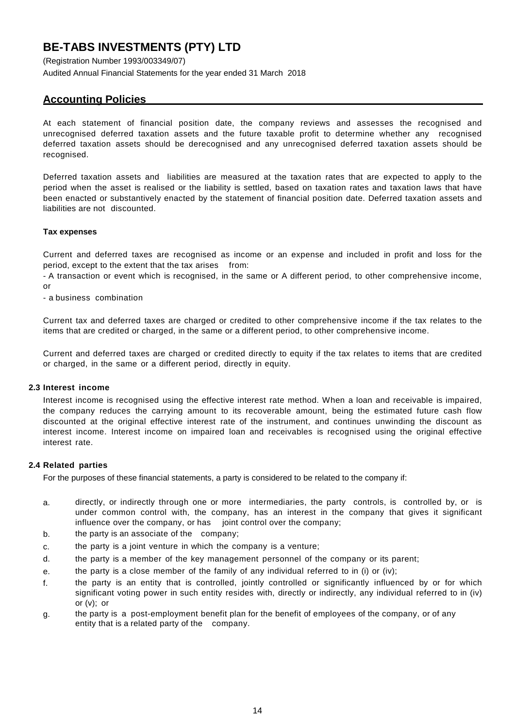(Registration Number 1993/003349/07) Audited Annual Financial Statements for the year ended 31 March 2018

## **Accounting Policies**

At each statement of financial position date, the company reviews and assesses the recognised and unrecognised deferred taxation assets and the future taxable profit to determine whether any recognised deferred taxation assets should be derecognised and any unrecognised deferred taxation assets should be recognised.

Deferred taxation assets and liabilities are measured at the taxation rates that are expected to apply to the period when the asset is realised or the liability is settled, based on taxation rates and taxation laws that have been enacted or substantively enacted by the statement of financial position date. Deferred taxation assets and liabilities are not discounted.

## **Tax expenses**

Current and deferred taxes are recognised as income or an expense and included in profit and loss for the period, except to the extent that the tax arises from:

- A transaction or event which is recognised, in the same or A different period, to other comprehensive income, or

- a business combination

Current tax and deferred taxes are charged or credited to other comprehensive income if the tax relates to the items that are credited or charged, in the same or a different period, to other comprehensive income.

Current and deferred taxes are charged or credited directly to equity if the tax relates to items that are credited or charged, in the same or a different period, directly in equity.

### **2.3 Interest income**

Interest income is recognised using the effective interest rate method. When a loan and receivable is impaired, the company reduces the carrying amount to its recoverable amount, being the estimated future cash flow discounted at the original effective interest rate of the instrument, and continues unwinding the discount as interest income. Interest income on impaired loan and receivables is recognised using the original effective interest rate.

## **2.4 Related parties**

For the purposes of these financial statements, a party is considered to be related to the company if:

- a. directly, or indirectly through one or more intermediaries, the party controls, is controlled by, or is under common control with, the company, has an interest in the company that gives it significant influence over the company, or has joint control over the company;
- b. the party is an associate of the company;
- c. the party is a joint venture in which the company is a venture;
- d. the party is a member of the key management personnel of the company or its parent;
- e. the party is a close member of the family of any individual referred to in (i) or (iv);
- f. the party is an entity that is controlled, jointly controlled or significantly influenced by or for which significant voting power in such entity resides with, directly or indirectly, any individual referred to in (iv) or (v); or
- g. the party is a post-employment benefit plan for the benefit of employees of the company, or of any entity that is a related party of the company.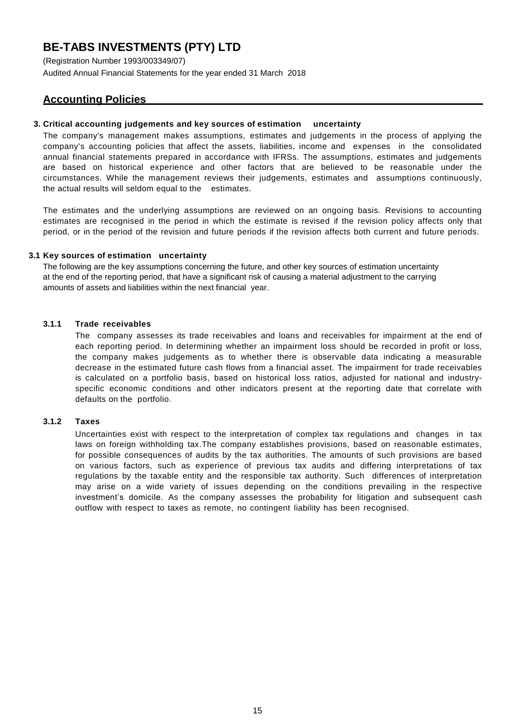(Registration Number 1993/003349/07) Audited Annual Financial Statements for the year ended 31 March 2018

## **Accounting Policies**

### **3. Critical accounting judgements and key sources of estimation uncertainty**

The company's management makes assumptions, estimates and judgements in the process of applying the company's accounting policies that affect the assets, liabilities, income and expenses in the consolidated annual financial statements prepared in accordance with IFRSs. The assumptions, estimates and judgements are based on historical experience and other factors that are believed to be reasonable under the circumstances. While the management reviews their judgements, estimates and assumptions continuously, the actual results will seldom equal to the estimates.

The estimates and the underlying assumptions are reviewed on an ongoing basis. Revisions to accounting estimates are recognised in the period in which the estimate is revised if the revision policy affects only that period, or in the period of the revision and future periods if the revision affects both current and future periods.

## **3.1 Key sources of estimation uncertainty**

The following are the key assumptions concerning the future, and other key sources of estimation uncertainty at the end of the reporting period, that have a significant risk of causing a material adjustment to the carrying amounts of assets and liabilities within the next financial year.

## **3.1.1 Trade receivables**

The company assesses its trade receivables and loans and receivables for impairment at the end of each reporting period. In determining whether an impairment loss should be recorded in profit or loss, the company makes judgements as to whether there is observable data indicating a measurable decrease in the estimated future cash flows from a financial asset. The impairment for trade receivables is calculated on a portfolio basis, based on historical loss ratios, adjusted for national and industryspecific economic conditions and other indicators present at the reporting date that correlate with defaults on the portfolio.

## **3.1.2 Taxes**

Uncertainties exist with respect to the interpretation of complex tax regulations and changes in tax laws on foreign withholding tax.The company establishes provisions, based on reasonable estimates, for possible consequences of audits by the tax authorities. The amounts of such provisions are based on various factors, such as experience of previous tax audits and differing interpretations of tax regulations by the taxable entity and the responsible tax authority. Such differences of interpretation may arise on a wide variety of issues depending on the conditions prevailing in the respective investment's domicile. As the company assesses the probability for litigation and subsequent cash outflow with respect to taxes as remote, no contingent liability has been recognised.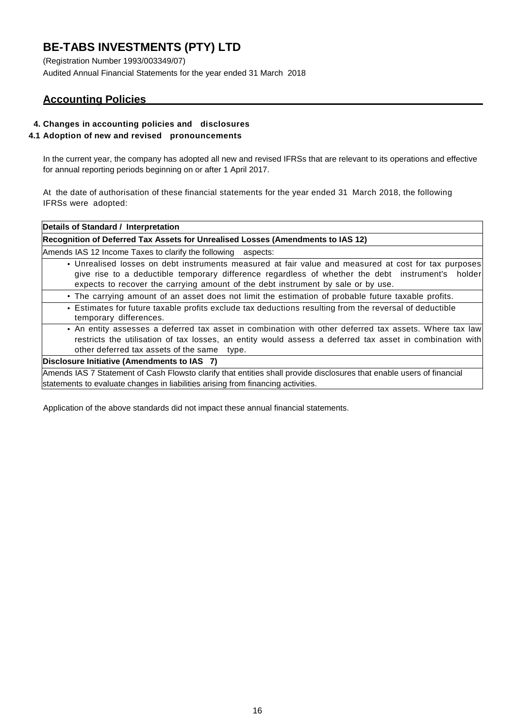(Registration Number 1993/003349/07) Audited Annual Financial Statements for the year ended 31 March 2018

## **Accounting Policies**

## **4. Changes in accounting policies and disclosures**

## **4.1 Adoption of new and revised pronouncements**

In the current year, the company has adopted all new and revised IFRSs that are relevant to its operations and effective for annual reporting periods beginning on or after 1 April 2017.

At the date of authorisation of these financial statements for the year ended 31 March 2018, the following IFRSs were adopted:

| Details of Standard / Interpretation                                                                                                                                                                                                                                                          |
|-----------------------------------------------------------------------------------------------------------------------------------------------------------------------------------------------------------------------------------------------------------------------------------------------|
| Recognition of Deferred Tax Assets for Unrealised Losses (Amendments to IAS 12)                                                                                                                                                                                                               |
| Amends IAS 12 Income Taxes to clarify the following aspects:                                                                                                                                                                                                                                  |
| • Unrealised losses on debt instruments measured at fair value and measured at cost for tax purposes<br>give rise to a deductible temporary difference regardless of whether the debt instrument's holder<br>expects to recover the carrying amount of the debt instrument by sale or by use. |
| • The carrying amount of an asset does not limit the estimation of probable future taxable profits.                                                                                                                                                                                           |
| • Estimates for future taxable profits exclude tax deductions resulting from the reversal of deductible<br>temporary differences.                                                                                                                                                             |
| • An entity assesses a deferred tax asset in combination with other deferred tax assets. Where tax law<br>restricts the utilisation of tax losses, an entity would assess a deferred tax asset in combination with<br>other deferred tax assets of the same type.                             |
| Disclosure Initiative (Amendments to IAS 7)                                                                                                                                                                                                                                                   |
| Amends IAS 7 Statement of Cash Flowsto clarify that entities shall provide disclosures that enable users of financial<br>statements to evaluate changes in liabilities arising from financing activities.                                                                                     |

Application of the above standards did not impact these annual financial statements.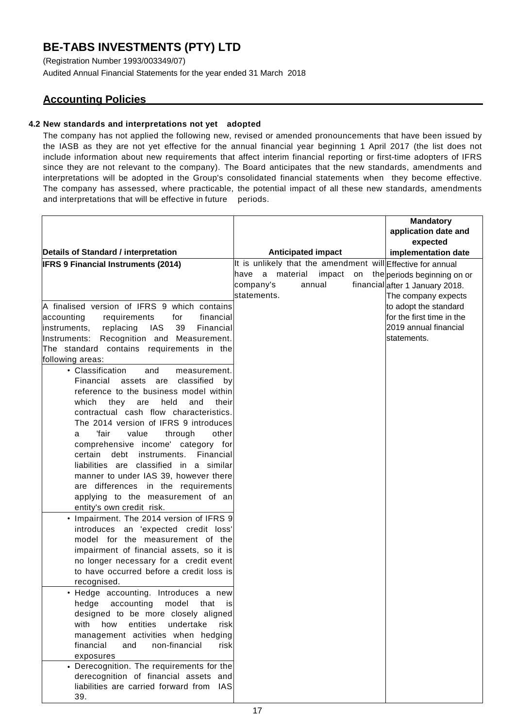(Registration Number 1993/003349/07) Audited Annual Financial Statements for the year ended 31 March 2018

## **Accounting Policies**

## **4.2 New standards and interpretations not yet adopted**

The company has not applied the following new, revised or amended pronouncements that have been issued by the IASB as they are not yet effective for the annual financial year beginning 1 April 2017 (the list does not include information about new requirements that affect interim financial reporting or first-time adopters of IFRS since they are not relevant to the company). The Board anticipates that the new standards, amendments and interpretations will be adopted in the Group's consolidated financial statements when they become effective. The company has assessed, where practicable, the potential impact of all these new standards, amendments and interpretations that will be effective in future periods.

|                                                                                    |      |             |                           | <b>Mandatory</b>                                            |
|------------------------------------------------------------------------------------|------|-------------|---------------------------|-------------------------------------------------------------|
|                                                                                    |      |             |                           | application date and                                        |
|                                                                                    |      |             |                           | expected                                                    |
| Details of Standard / interpretation                                               |      |             | <b>Anticipated impact</b> | implementation date                                         |
| <b>IFRS 9 Financial Instruments (2014)</b>                                         |      |             |                           | It is unlikely that the amendment will Effective for annual |
|                                                                                    | have |             | a material impact         | on the periods beginning on or                              |
|                                                                                    |      | company's   | annual                    | financial after 1 January 2018.                             |
|                                                                                    |      | statements. |                           | The company expects                                         |
| A finalised version of IFRS 9 which contains                                       |      |             |                           | to adopt the standard                                       |
| accounting<br>financial<br>requirements<br>for                                     |      |             |                           | for the first time in the                                   |
| 39<br>replacing<br>IAS<br>Financial<br>instruments,                                |      |             |                           | 2019 annual financial                                       |
| Recognition and Measurement.<br>Instruments:                                       |      |             |                           | statements.                                                 |
| The standard contains requirements in the                                          |      |             |                           |                                                             |
| following areas:                                                                   |      |             |                           |                                                             |
| • Classification<br>and<br>measurement.                                            |      |             |                           |                                                             |
| Financial assets are classified by                                                 |      |             |                           |                                                             |
| reference to the business model within                                             |      |             |                           |                                                             |
| held<br>which<br>they are<br>and<br>their                                          |      |             |                           |                                                             |
| contractual cash flow characteristics.                                             |      |             |                           |                                                             |
| The 2014 version of IFRS 9 introduces                                              |      |             |                           |                                                             |
| 'fair<br>value<br>through<br>other<br>a                                            |      |             |                           |                                                             |
| comprehensive income' category for                                                 |      |             |                           |                                                             |
| Financial<br>certain debt instruments.                                             |      |             |                           |                                                             |
| liabilities are classified in a similar                                            |      |             |                           |                                                             |
| manner to under IAS 39, however there                                              |      |             |                           |                                                             |
| are differences in the requirements                                                |      |             |                           |                                                             |
| applying to the measurement of an                                                  |      |             |                           |                                                             |
| entity's own credit risk.                                                          |      |             |                           |                                                             |
| • Impairment. The 2014 version of IFRS 9                                           |      |             |                           |                                                             |
| introduces an 'expected credit loss'                                               |      |             |                           |                                                             |
| model for the measurement of the                                                   |      |             |                           |                                                             |
| impairment of financial assets, so it is                                           |      |             |                           |                                                             |
| no longer necessary for a credit event<br>to have occurred before a credit loss is |      |             |                           |                                                             |
|                                                                                    |      |             |                           |                                                             |
| recognised.                                                                        |      |             |                           |                                                             |
| • Hedge accounting. Introduces a new                                               |      |             |                           |                                                             |
| hedge accounting model that is<br>designed to be more closely aligned              |      |             |                           |                                                             |
| how<br>entities<br>undertake<br>with<br>risk                                       |      |             |                           |                                                             |
| management activities when hedging                                                 |      |             |                           |                                                             |
| financial<br>non-financial<br>and<br>riskl                                         |      |             |                           |                                                             |
| exposures                                                                          |      |             |                           |                                                             |
| • Derecognition. The requirements for the                                          |      |             |                           |                                                             |
| derecognition of financial assets and                                              |      |             |                           |                                                             |
| liabilities are carried forward from<br><b>IAS</b>                                 |      |             |                           |                                                             |
| 39.                                                                                |      |             |                           |                                                             |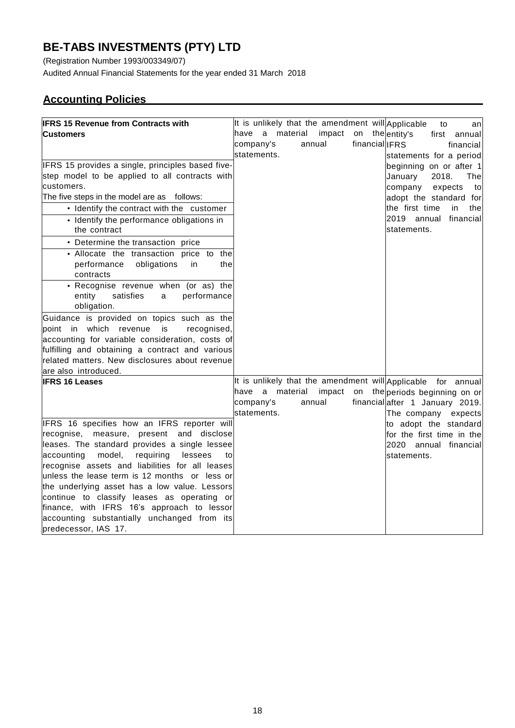(Registration Number 1993/003349/07)

Audited Annual Financial Statements for the year ended 31 March 2018

## **Accounting Policies**

| <b>IFRS 15 Revenue from Contracts with</b>                |                 |          |        | It is unlikely that the amendment will Applicable            | to      | an         |
|-----------------------------------------------------------|-----------------|----------|--------|--------------------------------------------------------------|---------|------------|
| Customers                                                 | have a material |          |        | impact on the entity's                                       | first   | annuall    |
|                                                           | company's       |          | annual | financial IFRS                                               |         | financial  |
|                                                           | statements.     |          |        | statements for a period                                      |         |            |
| IFRS 15 provides a single, principles based five-         |                 |          |        | beginning on or after 1                                      |         |            |
| step model to be applied to all contracts with            |                 |          |        | January                                                      | 2018.   | The        |
| customers.                                                |                 |          |        | company                                                      | expects | to         |
| The five steps in the model are as follows:               |                 |          |        | adopt the standard for                                       |         |            |
| • Identify the contract with the customer                 |                 |          |        | the first time                                               |         | in<br>thel |
| • Identify the performance obligations in<br>the contract |                 |          |        | 2019 annual<br>statements.                                   |         | financial  |
| • Determine the transaction price                         |                 |          |        |                                                              |         |            |
| · Allocate the transaction price to the                   |                 |          |        |                                                              |         |            |
| performance<br>obligations<br>the<br>in<br>contracts      |                 |          |        |                                                              |         |            |
| • Recognise revenue when (or as) the                      |                 |          |        |                                                              |         |            |
| entity<br>satisfies<br>performance<br>a                   |                 |          |        |                                                              |         |            |
| obligation.                                               |                 |          |        |                                                              |         |            |
| Guidance is provided on topics such as the                |                 |          |        |                                                              |         |            |
| point in which revenue<br>is<br>recognised,               |                 |          |        |                                                              |         |            |
| accounting for variable consideration, costs of           |                 |          |        |                                                              |         |            |
| fulfilling and obtaining a contract and various           |                 |          |        |                                                              |         |            |
| related matters. New disclosures about revenue            |                 |          |        |                                                              |         |            |
| are also introduced.                                      |                 |          |        |                                                              |         |            |
| <b>IFRS 16 Leases</b>                                     |                 |          |        | It is unlikely that the amendment will Applicable for annual |         |            |
|                                                           | have<br>a       | material | impact | on the periods beginning on or                               |         |            |
|                                                           | company's       |          | annual | financial after 1 January 2019.                              |         |            |
|                                                           | statements.     |          |        | The company expects                                          |         |            |
| IFRS 16 specifies how an IFRS reporter will               |                 |          |        | to adopt the standard                                        |         |            |
| recognise, measure, present and disclose                  |                 |          |        | for the first time in thel                                   |         |            |
| leases. The standard provides a single lessee             |                 |          |        | 2020 annual financial                                        |         |            |
| requiring<br>accounting<br>model,<br>lessees<br>to        |                 |          |        | statements.                                                  |         |            |
| recognise assets and liabilities for all leases           |                 |          |        |                                                              |         |            |
| unless the lease term is 12 months or less or             |                 |          |        |                                                              |         |            |
| the underlying asset has a low value. Lessors             |                 |          |        |                                                              |         |            |
| continue to classify leases as operating or               |                 |          |        |                                                              |         |            |
| finance, with IFRS 16's approach to lessor                |                 |          |        |                                                              |         |            |
| accounting substantially unchanged from its               |                 |          |        |                                                              |         |            |
| predecessor, IAS 17.                                      |                 |          |        |                                                              |         |            |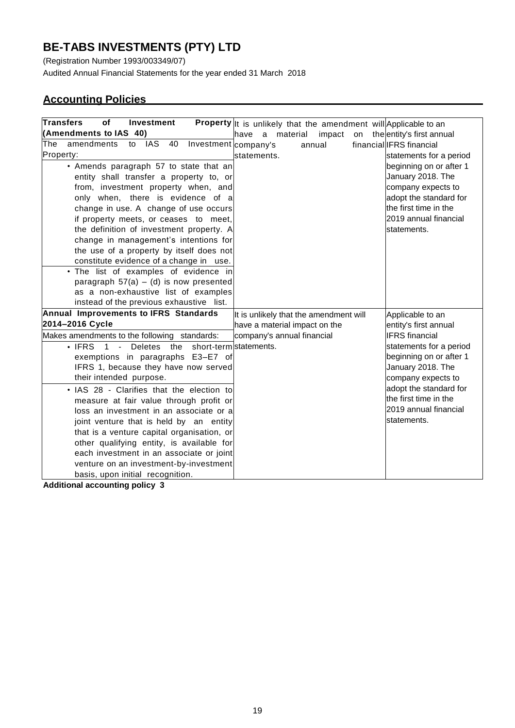(Registration Number 1993/003349/07)

Audited Annual Financial Statements for the year ended 31 March 2018

## **Accounting Policies**

| <b>Transfers</b><br>οf<br><b>Investment</b>                  | <b>Property</b> It is unlikely that the amendment will Applicable to an |                              |
|--------------------------------------------------------------|-------------------------------------------------------------------------|------------------------------|
| (Amendments to IAS 40)                                       | have<br>material<br>impact<br>a                                         | on the entity's first annual |
| IAS<br>amendments<br>40<br>Investment company's<br>The<br>to | annual                                                                  | financial IFRS financial     |
| Property:                                                    | statements.                                                             | statements for a period      |
| • Amends paragraph 57 to state that an                       |                                                                         | beginning on or after 1      |
| entity shall transfer a property to, or                      |                                                                         | January 2018. The            |
| from, investment property when, and                          |                                                                         | company expects to           |
| only when, there is evidence of a                            |                                                                         | adopt the standard for       |
| change in use. A change of use occurs                        |                                                                         | the first time in the        |
| if property meets, or ceases to meet,                        |                                                                         | 2019 annual financial        |
| the definition of investment property. A                     |                                                                         | statements.                  |
| change in management's intentions for                        |                                                                         |                              |
| the use of a property by itself does not                     |                                                                         |                              |
| constitute evidence of a change in use.                      |                                                                         |                              |
| • The list of examples of evidence in                        |                                                                         |                              |
| paragraph $57(a) - (d)$ is now presented                     |                                                                         |                              |
| as a non-exhaustive list of examples                         |                                                                         |                              |
| instead of the previous exhaustive list.                     |                                                                         |                              |
| Annual Improvements to IFRS Standards                        | It is unlikely that the amendment will                                  | Applicable to an             |
| 2014-2016 Cycle                                              | have a material impact on the                                           | entity's first annual        |
| Makes amendments to the following standards:                 | company's annual financial                                              | <b>IFRS</b> financial        |
| $\cdot$ IFRS<br>the<br>1 - Deletes                           | short-term statements.                                                  | statements for a period      |
| exemptions in paragraphs E3-E7 of                            |                                                                         | beginning on or after 1      |
| IFRS 1, because they have now served                         |                                                                         | January 2018. The            |
| their intended purpose.                                      |                                                                         | company expects to           |
| • IAS 28 - Clarifies that the election to                    |                                                                         | adopt the standard for       |
| measure at fair value through profit or                      |                                                                         | the first time in the        |
| loss an investment in an associate or a                      |                                                                         | 2019 annual financial        |
| joint venture that is held by an entity                      |                                                                         | statements.                  |
| that is a venture capital organisation, or                   |                                                                         |                              |
| other qualifying entity, is available for                    |                                                                         |                              |
| each investment in an associate or joint                     |                                                                         |                              |
| venture on an investment-by-investment                       |                                                                         |                              |
| basis, upon initial recognition.                             |                                                                         |                              |

**Additional accounting policy 3**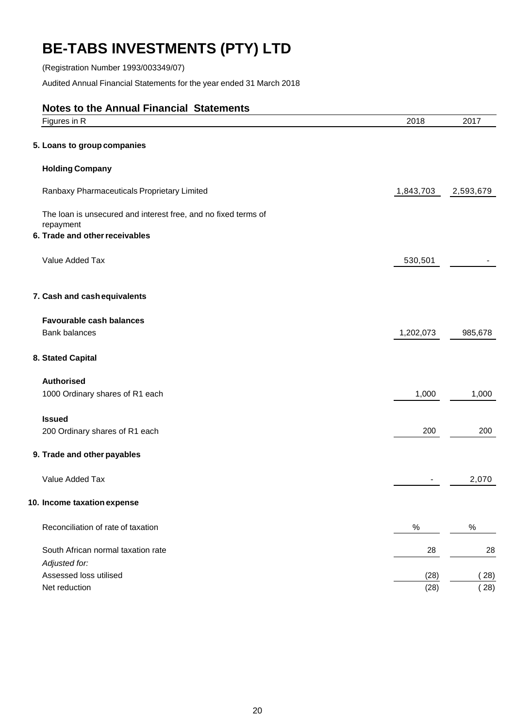(Registration Number 1993/003349/07)

Audited Annual Financial Statements for the year ended 31 March 2018

| <b>Notes to the Annual Financial Statements</b>                                                               |           |              |
|---------------------------------------------------------------------------------------------------------------|-----------|--------------|
| Figures in R                                                                                                  | 2018      | 2017         |
| 5. Loans to group companies                                                                                   |           |              |
| <b>Holding Company</b>                                                                                        |           |              |
| Ranbaxy Pharmaceuticals Proprietary Limited                                                                   | 1,843,703 | 2,593,679    |
| The loan is unsecured and interest free, and no fixed terms of<br>repayment<br>6. Trade and other receivables |           |              |
| Value Added Tax                                                                                               | 530,501   |              |
| 7. Cash and cash equivalents                                                                                  |           |              |
| <b>Favourable cash balances</b>                                                                               |           |              |
| <b>Bank balances</b>                                                                                          | 1,202,073 | 985,678      |
| 8. Stated Capital                                                                                             |           |              |
| <b>Authorised</b>                                                                                             |           |              |
| 1000 Ordinary shares of R1 each                                                                               | 1,000     | 1,000        |
| <b>Issued</b>                                                                                                 |           |              |
| 200 Ordinary shares of R1 each                                                                                | 200       | 200          |
| 9. Trade and other payables                                                                                   |           |              |
| Value Added Tax                                                                                               |           | 2,070        |
| 10. Income taxation expense                                                                                   |           |              |
| Reconciliation of rate of taxation                                                                            | $\%$      | $\%$         |
| South African normal taxation rate                                                                            | 28        | 28           |
| Adjusted for:                                                                                                 |           |              |
| Assessed loss utilised<br>Net reduction                                                                       | (28)      | (28)<br>(28) |
|                                                                                                               | (28)      |              |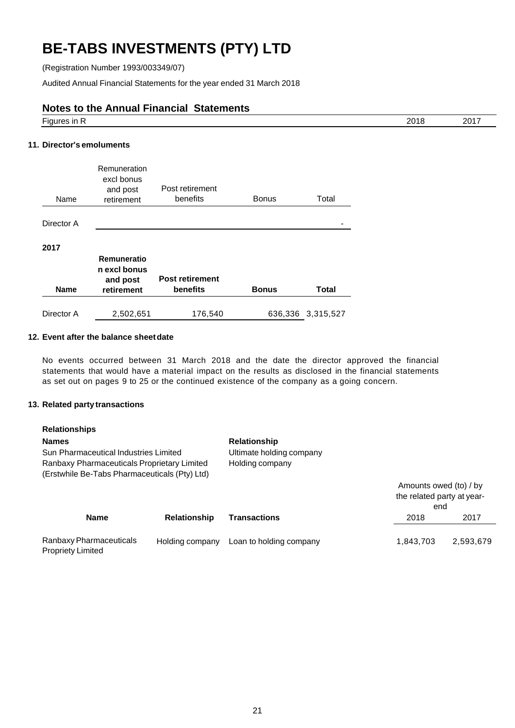(Registration Number 1993/003349/07)

Audited Annual Financial Statements for the year ended 31 March 2018

## **Notes to the Annual Financial Statements**

| $- \cdot$<br><br>. . | ว∩1<br>.<br>____ | $-\sim$ |
|----------------------|------------------|---------|
|                      |                  |         |

## **11. Director's emoluments**

| Name        | Remuneration<br>excl bonus<br>and post<br>retirement  | Post retirement<br>benefits        | <b>Bonus</b> | Total             |
|-------------|-------------------------------------------------------|------------------------------------|--------------|-------------------|
| Director A  |                                                       |                                    |              |                   |
| 2017        |                                                       |                                    |              |                   |
| <b>Name</b> | Remuneratio<br>n excl bonus<br>and post<br>retirement | <b>Post retirement</b><br>benefits | <b>Bonus</b> | <b>Total</b>      |
| Director A  | 2,502,651                                             | 176,540                            |              | 636,336 3,315,527 |

## **12. Event after the balance sheetdate**

No events occurred between 31 March 2018 and the date the director approved the financial statements that would have a material impact on the results as disclosed in the financial statements as set out on pages 9 to 25 or the continued existence of the company as a going concern.

## **13. Related party transactions**

Propriety Limited

| <b>Relationships</b>                          |                     |                          |                            |           |
|-----------------------------------------------|---------------------|--------------------------|----------------------------|-----------|
| <b>Names</b>                                  |                     | <b>Relationship</b>      |                            |           |
| Sun Pharmaceutical Industries Limited         |                     | Ultimate holding company |                            |           |
| Ranbaxy Pharmaceuticals Proprietary Limited   |                     | Holding company          |                            |           |
| (Erstwhile Be-Tabs Pharmaceuticals (Pty) Ltd) |                     |                          |                            |           |
|                                               |                     |                          | Amounts owed (to) / by     |           |
|                                               |                     |                          | the related party at year- |           |
|                                               |                     |                          | end                        |           |
| <b>Name</b>                                   | <b>Relationship</b> | <b>Transactions</b>      | 2018                       | 2017      |
| Ranbaxy Pharmaceuticals                       | Holding company     | Loan to holding company  | 1,843,703                  | 2,593,679 |